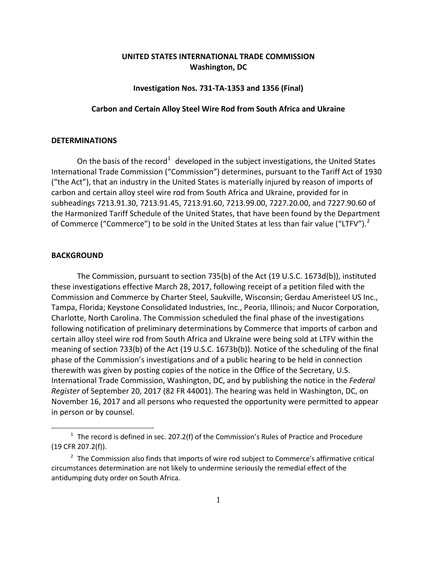# **UNITED STATES INTERNATIONAL TRADE COMMISSION Washington, DC**

### **Investigation Nos. 731-TA-1353 and 1356 (Final)**

### **Carbon and Certain Alloy Steel Wire Rod from South Africa and Ukraine**

#### **DETERMINATIONS**

On the basis of the record<sup>[1](#page-0-0)</sup> developed in the subject investigations, the United States International Trade Commission ("Commission") determines, pursuant to the Tariff Act of 1930 ("the Act"), that an industry in the United States is materially injured by reason of imports of carbon and certain alloy steel wire rod from South Africa and Ukraine, provided for in subheadings 7213.91.30, 7213.91.45, 7213.91.60, 7213.99.00, 7227.20.00, and 7227.90.60 of the Harmonized Tariff Schedule of the United States, that have been found by the Department of Commerce ("Commerce") to be sold in the United States at less than fair value ("LTFV").<sup>[2](#page-0-1)</sup>

## **BACKGROUND**

 $\overline{a}$ 

The Commission, pursuant to section 735(b) of the Act (19 U.S.C. 1673d(b)), instituted these investigations effective March 28, 2017, following receipt of a petition filed with the Commission and Commerce by Charter Steel, Saukville, Wisconsin; Gerdau Ameristeel US Inc., Tampa, Florida; Keystone Consolidated Industries, Inc., Peoria, Illinois; and Nucor Corporation, Charlotte, North Carolina. The Commission scheduled the final phase of the investigations following notification of preliminary determinations by Commerce that imports of carbon and certain alloy steel wire rod from South Africa and Ukraine were being sold at LTFV within the meaning of section 733(b) of the Act (19 U.S.C. 1673b(b)). Notice of the scheduling of the final phase of the Commission's investigations and of a public hearing to be held in connection therewith was given by posting copies of the notice in the Office of the Secretary, U.S. International Trade Commission, Washington, DC, and by publishing the notice in the *Federal Register* of September 20, 2017 (82 FR 44001). The hearing was held in Washington, DC, on November 16, 2017 and all persons who requested the opportunity were permitted to appear in person or by counsel.

<span id="page-0-0"></span> $1$  The record is defined in sec. 207.2(f) of the Commission's Rules of Practice and Procedure (19 CFR 207.2(f)).

<span id="page-0-1"></span> $2$  The Commission also finds that imports of wire rod subject to Commerce's affirmative critical circumstances determination are not likely to undermine seriously the remedial effect of the antidumping duty order on South Africa.